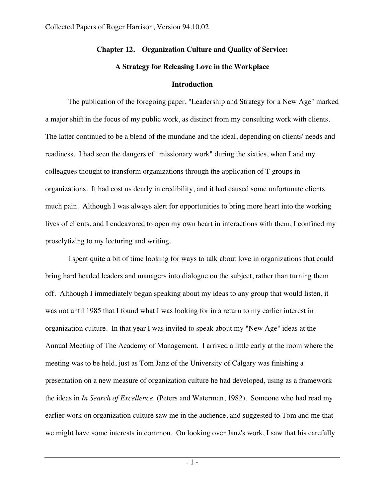# **Chapter 12. Organization Culture and Quality of Service: A Strategy for Releasing Love in the Workplace Introduction**

The publication of the foregoing paper, "Leadership and Strategy for a New Age" marked a major shift in the focus of my public work, as distinct from my consulting work with clients. The latter continued to be a blend of the mundane and the ideal, depending on clients' needs and readiness. I had seen the dangers of "missionary work" during the sixties, when I and my colleagues thought to transform organizations through the application of T groups in organizations. It had cost us dearly in credibility, and it had caused some unfortunate clients much pain. Although I was always alert for opportunities to bring more heart into the working lives of clients, and I endeavored to open my own heart in interactions with them, I confined my proselytizing to my lecturing and writing.

I spent quite a bit of time looking for ways to talk about love in organizations that could bring hard headed leaders and managers into dialogue on the subject, rather than turning them off. Although I immediately began speaking about my ideas to any group that would listen, it was not until 1985 that I found what I was looking for in a return to my earlier interest in organization culture. In that year I was invited to speak about my "New Age" ideas at the Annual Meeting of The Academy of Management. I arrived a little early at the room where the meeting was to be held, just as Tom Janz of the University of Calgary was finishing a presentation on a new measure of organization culture he had developed, using as a framework the ideas in *In Search of Excellence* (Peters and Waterman, 1982). Someone who had read my earlier work on organization culture saw me in the audience, and suggested to Tom and me that we might have some interests in common. On looking over Janz's work, I saw that his carefully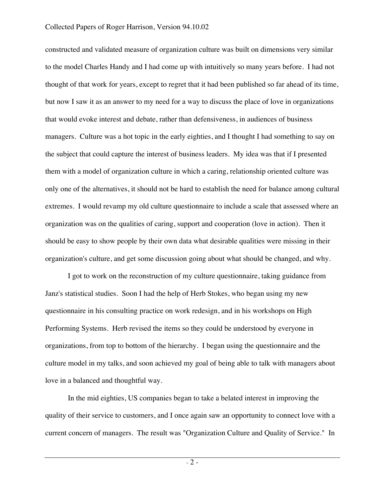#### Collected Papers of Roger Harrison, Version 94.10.02

constructed and validated measure of organization culture was built on dimensions very similar to the model Charles Handy and I had come up with intuitively so many years before. I had not thought of that work for years, except to regret that it had been published so far ahead of its time, but now I saw it as an answer to my need for a way to discuss the place of love in organizations that would evoke interest and debate, rather than defensiveness, in audiences of business managers. Culture was a hot topic in the early eighties, and I thought I had something to say on the subject that could capture the interest of business leaders. My idea was that if I presented them with a model of organization culture in which a caring, relationship oriented culture was only one of the alternatives, it should not be hard to establish the need for balance among cultural extremes. I would revamp my old culture questionnaire to include a scale that assessed where an organization was on the qualities of caring, support and cooperation (love in action). Then it should be easy to show people by their own data what desirable qualities were missing in their organization's culture, and get some discussion going about what should be changed, and why.

I got to work on the reconstruction of my culture questionnaire, taking guidance from Janz's statistical studies. Soon I had the help of Herb Stokes, who began using my new questionnaire in his consulting practice on work redesign, and in his workshops on High Performing Systems. Herb revised the items so they could be understood by everyone in organizations, from top to bottom of the hierarchy. I began using the questionnaire and the culture model in my talks, and soon achieved my goal of being able to talk with managers about love in a balanced and thoughtful way.

In the mid eighties, US companies began to take a belated interest in improving the quality of their service to customers, and I once again saw an opportunity to connect love with a current concern of managers. The result was "Organization Culture and Quality of Service." In

*-* 2 -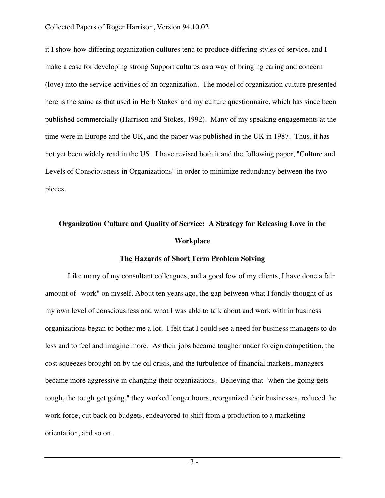it I show how differing organization cultures tend to produce differing styles of service, and I make a case for developing strong Support cultures as a way of bringing caring and concern (love) into the service activities of an organization. The model of organization culture presented here is the same as that used in Herb Stokes' and my culture questionnaire, which has since been published commercially (Harrison and Stokes, 1992). Many of my speaking engagements at the time were in Europe and the UK, and the paper was published in the UK in 1987. Thus, it has not yet been widely read in the US. I have revised both it and the following paper, "Culture and Levels of Consciousness in Organizations" in order to minimize redundancy between the two pieces.

## **Organization Culture and Quality of Service: A Strategy for Releasing Love in the Workplace**

#### **The Hazards of Short Term Problem Solving**

Like many of my consultant colleagues, and a good few of my clients, I have done a fair amount of "work" on myself. About ten years ago, the gap between what I fondly thought of as my own level of consciousness and what I was able to talk about and work with in business organizations began to bother me a lot. I felt that I could see a need for business managers to do less and to feel and imagine more. As their jobs became tougher under foreign competition, the cost squeezes brought on by the oil crisis, and the turbulence of financial markets, managers became more aggressive in changing their organizations. Believing that "when the going gets tough, the tough get going," they worked longer hours, reorganized their businesses, reduced the work force, cut back on budgets, endeavored to shift from a production to a marketing orientation, and so on.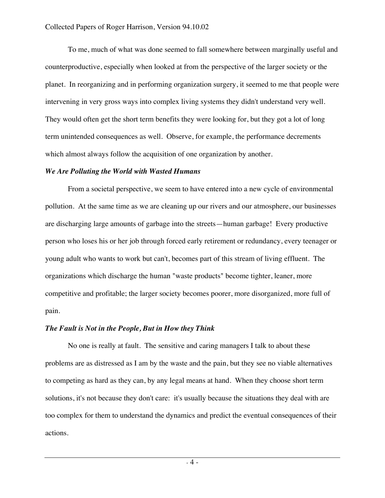To me, much of what was done seemed to fall somewhere between marginally useful and counterproductive, especially when looked at from the perspective of the larger society or the planet. In reorganizing and in performing organization surgery, it seemed to me that people were intervening in very gross ways into complex living systems they didn't understand very well. They would often get the short term benefits they were looking for, but they got a lot of long term unintended consequences as well. Observe, for example, the performance decrements which almost always follow the acquisition of one organization by another.

#### *We Are Polluting the World with Wasted Humans*

From a societal perspective, we seem to have entered into a new cycle of environmental pollution. At the same time as we are cleaning up our rivers and our atmosphere, our businesses are discharging large amounts of garbage into the streets—human garbage! Every productive person who loses his or her job through forced early retirement or redundancy, every teenager or young adult who wants to work but can't, becomes part of this stream of living effluent. The organizations which discharge the human "waste products" become tighter, leaner, more competitive and profitable; the larger society becomes poorer, more disorganized, more full of pain.

#### *The Fault is Not in the People, But in How they Think*

No one is really at fault. The sensitive and caring managers I talk to about these problems are as distressed as I am by the waste and the pain, but they see no viable alternatives to competing as hard as they can, by any legal means at hand. When they choose short term solutions, it's not because they don't care: it's usually because the situations they deal with are too complex for them to understand the dynamics and predict the eventual consequences of their actions.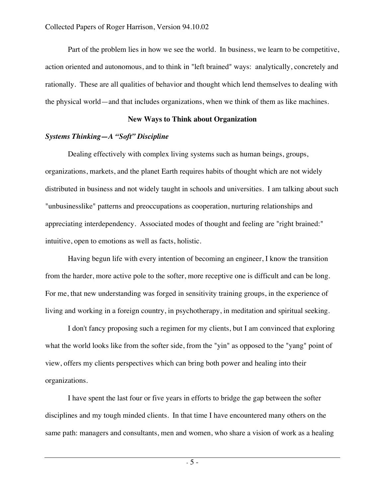Part of the problem lies in how we see the world. In business, we learn to be competitive, action oriented and autonomous, and to think in "left brained" ways: analytically, concretely and rationally. These are all qualities of behavior and thought which lend themselves to dealing with the physical world—and that includes organizations, when we think of them as like machines.

## **New Ways to Think about Organization**

## *Systems Thinking—A "Soft" Discipline*

Dealing effectively with complex living systems such as human beings, groups, organizations, markets, and the planet Earth requires habits of thought which are not widely distributed in business and not widely taught in schools and universities. I am talking about such "unbusinesslike" patterns and preoccupations as cooperation, nurturing relationships and appreciating interdependency. Associated modes of thought and feeling are "right brained:" intuitive, open to emotions as well as facts, holistic.

Having begun life with every intention of becoming an engineer, I know the transition from the harder, more active pole to the softer, more receptive one is difficult and can be long. For me, that new understanding was forged in sensitivity training groups, in the experience of living and working in a foreign country, in psychotherapy, in meditation and spiritual seeking.

I don't fancy proposing such a regimen for my clients, but I am convinced that exploring what the world looks like from the softer side, from the "yin" as opposed to the "yang" point of view, offers my clients perspectives which can bring both power and healing into their organizations.

I have spent the last four or five years in efforts to bridge the gap between the softer disciplines and my tough minded clients. In that time I have encountered many others on the same path: managers and consultants, men and women, who share a vision of work as a healing

*-* 5 -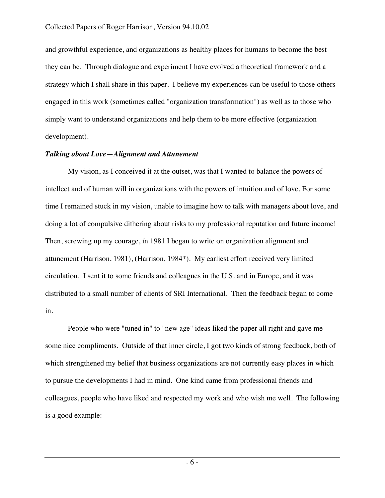and growthful experience, and organizations as healthy places for humans to become the best they can be. Through dialogue and experiment I have evolved a theoretical framework and a strategy which I shall share in this paper. I believe my experiences can be useful to those others engaged in this work (sometimes called "organization transformation") as well as to those who simply want to understand organizations and help them to be more effective (organization development).

#### *Talking about Love—Alignment and Attunement*

My vision, as I conceived it at the outset, was that I wanted to balance the powers of intellect and of human will in organizations with the powers of intuition and of love. For some time I remained stuck in my vision, unable to imagine how to talk with managers about love, and doing a lot of compulsive dithering about risks to my professional reputation and future income! Then, screwing up my courage, ín 1981 I began to write on organization alignment and attunement (Harrison, 1981), (Harrison, 1984\*). My earliest effort received very limited circulation. I sent it to some friends and colleagues in the U.S. and in Europe, and it was distributed to a small number of clients of SRI International. Then the feedback began to come in.

People who were "tuned in" to "new age" ideas liked the paper all right and gave me some nice compliments. Outside of that inner circle, I got two kinds of strong feedback, both of which strengthened my belief that business organizations are not currently easy places in which to pursue the developments I had in mind. One kind came from professional friends and colleagues, people who have liked and respected my work and who wish me well. The following is a good example: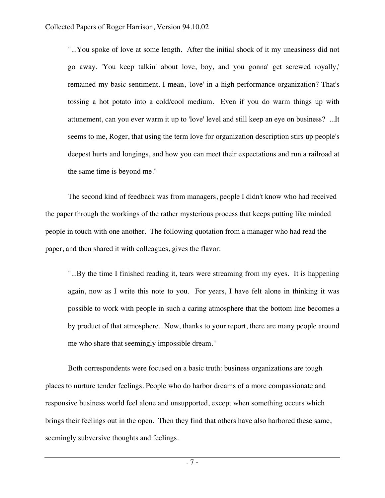"...You spoke of love at some length. After the initial shock of it my uneasiness did not go away. 'You keep talkin' about love, boy, and you gonna' get screwed royally,' remained my basic sentiment. I mean, 'love' in a high performance organization? That's tossing a hot potato into a cold/cool medium. Even if you do warm things up with attunement, can you ever warm it up to 'love' level and still keep an eye on business? ...It seems to me, Roger, that using the term love for organization description stirs up people's deepest hurts and longings, and how you can meet their expectations and run a railroad at the same time is beyond me."

The second kind of feedback was from managers, people I didn't know who had received the paper through the workings of the rather mysterious process that keeps putting like minded people in touch with one another. The following quotation from a manager who had read the paper, and then shared it with colleagues, gives the flavor:

"...By the time I finished reading it, tears were streaming from my eyes. It is happening again, now as I write this note to you. For years, I have felt alone in thinking it was possible to work with people in such a caring atmosphere that the bottom line becomes a by product of that atmosphere. Now, thanks to your report, there are many people around me who share that seemingly impossible dream."

Both correspondents were focused on a basic truth: business organizations are tough places to nurture tender feelings. People who do harbor dreams of a more compassionate and responsive business world feel alone and unsupported, except when something occurs which brings their feelings out in the open. Then they find that others have also harbored these same, seemingly subversive thoughts and feelings.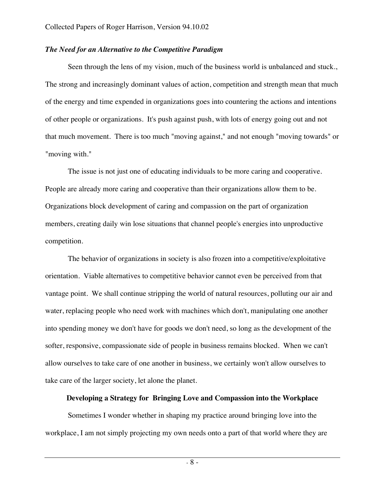## *The Need for an Alternative to the Competitive Paradigm*

Seen through the lens of my vision, much of the business world is unbalanced and stuck., The strong and increasingly dominant values of action, competition and strength mean that much of the energy and time expended in organizations goes into countering the actions and intentions of other people or organizations. It's push against push, with lots of energy going out and not that much movement. There is too much "moving against," and not enough "moving towards" or "moving with."

The issue is not just one of educating individuals to be more caring and cooperative. People are already more caring and cooperative than their organizations allow them to be. Organizations block development of caring and compassion on the part of organization members, creating daily win lose situations that channel people's energies into unproductive competition.

The behavior of organizations in society is also frozen into a competitive/exploitative orientation. Viable alternatives to competitive behavior cannot even be perceived from that vantage point. We shall continue stripping the world of natural resources, polluting our air and water, replacing people who need work with machines which don't, manipulating one another into spending money we don't have for goods we don't need, so long as the development of the softer, responsive, compassionate side of people in business remains blocked. When we can't allow ourselves to take care of one another in business, we certainly won't allow ourselves to take care of the larger society, let alone the planet.

## **Developing a Strategy for Bringing Love and Compassion into the Workplace**

Sometimes I wonder whether in shaping my practice around bringing love into the workplace, I am not simply projecting my own needs onto a part of that world where they are

*-* 8 -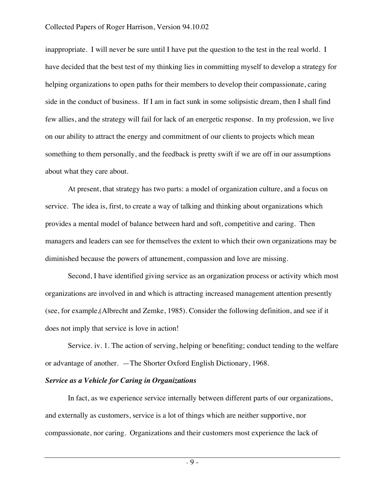#### Collected Papers of Roger Harrison, Version 94.10.02

inappropriate. I will never be sure until I have put the question to the test in the real world. I have decided that the best test of my thinking lies in committing myself to develop a strategy for helping organizations to open paths for their members to develop their compassionate, caring side in the conduct of business. If I am in fact sunk in some solipsistic dream, then I shall find few allies, and the strategy will fail for lack of an energetic response. In my profession, we live on our ability to attract the energy and commitment of our clients to projects which mean something to them personally, and the feedback is pretty swift if we are off in our assumptions about what they care about.

At present, that strategy has two parts: a model of organization culture, and a focus on service. The idea is, first, to create a way of talking and thinking about organizations which provides a mental model of balance between hard and soft, competitive and caring. Then managers and leaders can see for themselves the extent to which their own organizations may be diminished because the powers of attunement, compassion and love are missing.

Second, I have identified giving service as an organization process or activity which most organizations are involved in and which is attracting increased management attention presently (see, for example,(Albrecht and Zemke, 1985). Consider the following definition, and see if it does not imply that service is love in action!

Service. iv. 1. The action of serving, helping or benefiting; conduct tending to the welfare or advantage of another. —The Shorter Oxford English Dictionary, 1968.

#### *Service as a Vehicle for Caring in Organizations*

In fact, as we experience service internally between different parts of our organizations, and externally as customers, service is a lot of things which are neither supportive, nor compassionate, nor caring. Organizations and their customers most experience the lack of

*-* 9 -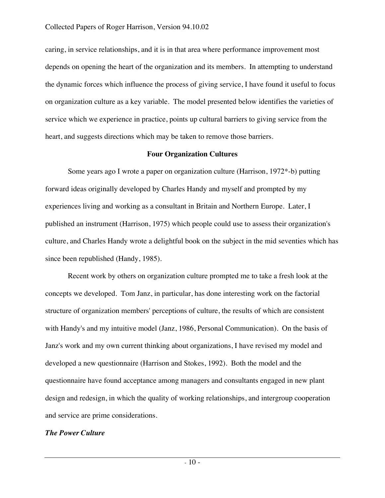caring, in service relationships, and it is in that area where performance improvement most depends on opening the heart of the organization and its members. In attempting to understand the dynamic forces which influence the process of giving service, I have found it useful to focus on organization culture as a key variable. The model presented below identifies the varieties of service which we experience in practice, points up cultural barriers to giving service from the heart, and suggests directions which may be taken to remove those barriers.

## **Four Organization Cultures**

Some years ago I wrote a paper on organization culture (Harrison, 1972\*-b) putting forward ideas originally developed by Charles Handy and myself and prompted by my experiences living and working as a consultant in Britain and Northern Europe. Later, I published an instrument (Harrison, 1975) which people could use to assess their organization's culture, and Charles Handy wrote a delightful book on the subject in the mid seventies which has since been republished (Handy, 1985).

Recent work by others on organization culture prompted me to take a fresh look at the concepts we developed. Tom Janz, in particular, has done interesting work on the factorial structure of organization members' perceptions of culture, the results of which are consistent with Handy's and my intuitive model (Janz, 1986, Personal Communication). On the basis of Janz's work and my own current thinking about organizations, I have revised my model and developed a new questionnaire (Harrison and Stokes, 1992). Both the model and the questionnaire have found acceptance among managers and consultants engaged in new plant design and redesign, in which the quality of working relationships, and intergroup cooperation and service are prime considerations.

## *The Power Culture*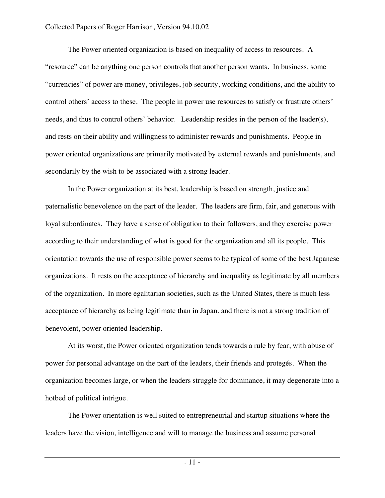The Power oriented organization is based on inequality of access to resources. A "resource" can be anything one person controls that another person wants. In business, some "currencies" of power are money, privileges, job security, working conditions, and the ability to control others' access to these. The people in power use resources to satisfy or frustrate others' needs, and thus to control others' behavior. Leadership resides in the person of the leader(s), and rests on their ability and willingness to administer rewards and punishments. People in power oriented organizations are primarily motivated by external rewards and punishments, and secondarily by the wish to be associated with a strong leader.

In the Power organization at its best, leadership is based on strength, justice and paternalistic benevolence on the part of the leader. The leaders are firm, fair, and generous with loyal subordinates. They have a sense of obligation to their followers, and they exercise power according to their understanding of what is good for the organization and all its people. This orientation towards the use of responsible power seems to be typical of some of the best Japanese organizations. It rests on the acceptance of hierarchy and inequality as legitimate by all members of the organization. In more egalitarian societies, such as the United States, there is much less acceptance of hierarchy as being legitimate than in Japan, and there is not a strong tradition of benevolent, power oriented leadership.

At its worst, the Power oriented organization tends towards a rule by fear, with abuse of power for personal advantage on the part of the leaders, their friends and protegés. When the organization becomes large, or when the leaders struggle for dominance, it may degenerate into a hotbed of political intrigue.

The Power orientation is well suited to entrepreneurial and startup situations where the leaders have the vision, intelligence and will to manage the business and assume personal

*-* 11 -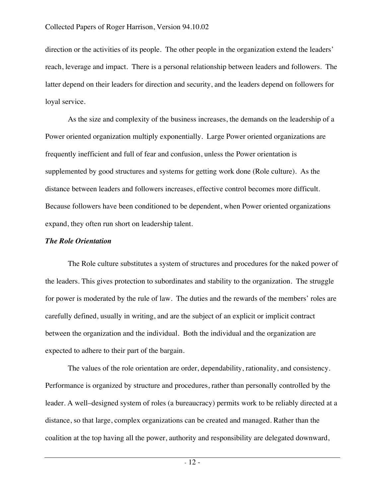direction or the activities of its people. The other people in the organization extend the leaders' reach, leverage and impact. There is a personal relationship between leaders and followers. The latter depend on their leaders for direction and security, and the leaders depend on followers for loyal service.

As the size and complexity of the business increases, the demands on the leadership of a Power oriented organization multiply exponentially. Large Power oriented organizations are frequently inefficient and full of fear and confusion, unless the Power orientation is supplemented by good structures and systems for getting work done (Role culture). As the distance between leaders and followers increases, effective control becomes more difficult. Because followers have been conditioned to be dependent, when Power oriented organizations expand, they often run short on leadership talent.

#### *The Role Orientation*

The Role culture substitutes a system of structures and procedures for the naked power of the leaders. This gives protection to subordinates and stability to the organization. The struggle for power is moderated by the rule of law. The duties and the rewards of the members' roles are carefully defined, usually in writing, and are the subject of an explicit or implicit contract between the organization and the individual. Both the individual and the organization are expected to adhere to their part of the bargain.

The values of the role orientation are order, dependability, rationality, and consistency. Performance is organized by structure and procedures, rather than personally controlled by the leader. A well–designed system of roles (a bureaucracy) permits work to be reliably directed at a distance, so that large, complex organizations can be created and managed. Rather than the coalition at the top having all the power, authority and responsibility are delegated downward,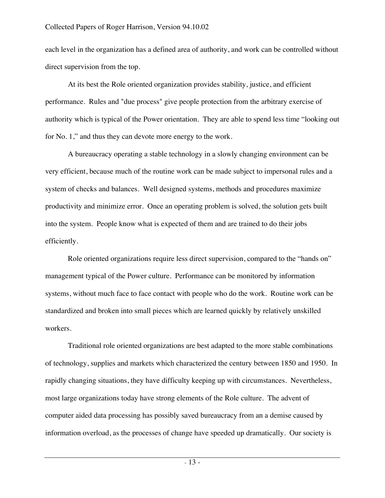each level in the organization has a defined area of authority, and work can be controlled without direct supervision from the top.

At its best the Role oriented organization provides stability, justice, and efficient performance. Rules and "due process" give people protection from the arbitrary exercise of authority which is typical of the Power orientation. They are able to spend less time "looking out for No. 1," and thus they can devote more energy to the work.

A bureaucracy operating a stable technology in a slowly changing environment can be very efficient, because much of the routine work can be made subject to impersonal rules and a system of checks and balances. Well designed systems, methods and procedures maximize productivity and minimize error. Once an operating problem is solved, the solution gets built into the system. People know what is expected of them and are trained to do their jobs efficiently.

Role oriented organizations require less direct supervision, compared to the "hands on" management typical of the Power culture. Performance can be monitored by information systems, without much face to face contact with people who do the work. Routine work can be standardized and broken into small pieces which are learned quickly by relatively unskilled workers.

Traditional role oriented organizations are best adapted to the more stable combinations of technology, supplies and markets which characterized the century between 1850 and 1950. In rapidly changing situations, they have difficulty keeping up with circumstances. Nevertheless, most large organizations today have strong elements of the Role culture. The advent of computer aided data processing has possibly saved bureaucracy from an a demise caused by information overload, as the processes of change have speeded up dramatically. Our society is

*-* 13 -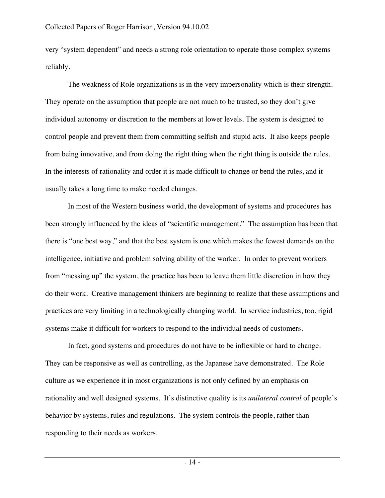very "system dependent" and needs a strong role orientation to operate those complex systems reliably.

The weakness of Role organizations is in the very impersonality which is their strength. They operate on the assumption that people are not much to be trusted, so they don't give individual autonomy or discretion to the members at lower levels. The system is designed to control people and prevent them from committing selfish and stupid acts. It also keeps people from being innovative, and from doing the right thing when the right thing is outside the rules. In the interests of rationality and order it is made difficult to change or bend the rules, and it usually takes a long time to make needed changes.

In most of the Western business world, the development of systems and procedures has been strongly influenced by the ideas of "scientific management." The assumption has been that there is "one best way," and that the best system is one which makes the fewest demands on the intelligence, initiative and problem solving ability of the worker. In order to prevent workers from "messing up" the system, the practice has been to leave them little discretion in how they do their work. Creative management thinkers are beginning to realize that these assumptions and practices are very limiting in a technologically changing world. In service industries, too, rigid systems make it difficult for workers to respond to the individual needs of customers.

In fact, good systems and procedures do not have to be inflexible or hard to change. They can be responsive as well as controlling, as the Japanese have demonstrated. The Role culture as we experience it in most organizations is not only defined by an emphasis on rationality and well designed systems. It's distinctive quality is its *unilateral control* of people's behavior by systems, rules and regulations. The system controls the people, rather than responding to their needs as workers.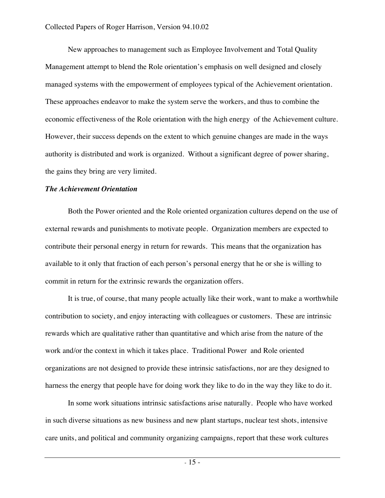New approaches to management such as Employee Involvement and Total Quality Management attempt to blend the Role orientation's emphasis on well designed and closely managed systems with the empowerment of employees typical of the Achievement orientation. These approaches endeavor to make the system serve the workers, and thus to combine the economic effectiveness of the Role orientation with the high energy of the Achievement culture. However, their success depends on the extent to which genuine changes are made in the ways authority is distributed and work is organized. Without a significant degree of power sharing, the gains they bring are very limited.

#### *The Achievement Orientation*

Both the Power oriented and the Role oriented organization cultures depend on the use of external rewards and punishments to motivate people. Organization members are expected to contribute their personal energy in return for rewards. This means that the organization has available to it only that fraction of each person's personal energy that he or she is willing to commit in return for the extrinsic rewards the organization offers.

It is true, of course, that many people actually like their work, want to make a worthwhile contribution to society, and enjoy interacting with colleagues or customers. These are intrinsic rewards which are qualitative rather than quantitative and which arise from the nature of the work and/or the context in which it takes place. Traditional Power and Role oriented organizations are not designed to provide these intrinsic satisfactions, nor are they designed to harness the energy that people have for doing work they like to do in the way they like to do it.

In some work situations intrinsic satisfactions arise naturally. People who have worked in such diverse situations as new business and new plant startups, nuclear test shots, intensive care units, and political and community organizing campaigns, report that these work cultures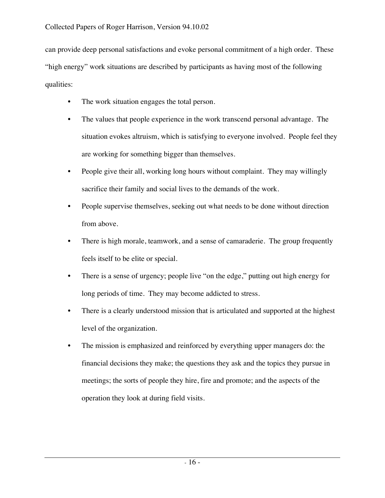can provide deep personal satisfactions and evoke personal commitment of a high order. These "high energy" work situations are described by participants as having most of the following qualities:

- The work situation engages the total person.
- The values that people experience in the work transcend personal advantage. The situation evokes altruism, which is satisfying to everyone involved. People feel they are working for something bigger than themselves.
- People give their all, working long hours without complaint. They may willingly sacrifice their family and social lives to the demands of the work.
- People supervise themselves, seeking out what needs to be done without direction from above.
- There is high morale, teamwork, and a sense of camaraderie. The group frequently feels itself to be elite or special.
- There is a sense of urgency; people live "on the edge," putting out high energy for long periods of time. They may become addicted to stress.
- There is a clearly understood mission that is articulated and supported at the highest level of the organization.
- The mission is emphasized and reinforced by everything upper managers do: the financial decisions they make; the questions they ask and the topics they pursue in meetings; the sorts of people they hire, fire and promote; and the aspects of the operation they look at during field visits.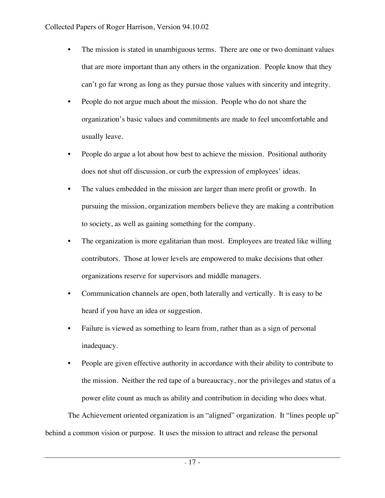- The mission is stated in unambiguous terms. There are one or two dominant values that are more important than any others in the organization. People know that they can't go far wrong as long as they pursue those values with sincerity and integrity.
- People do not argue much about the mission. People who do not share the organization's basic values and commitments are made to feel uncomfortable and usually leave.
- People do argue a lot about how best to achieve the mission. Positional authority does not shut off discussion, or curb the expression of employees' ideas.
- The values embedded in the mission are larger than mere profit or growth. In pursuing the mission, organization members believe they are making a contribution to society, as well as gaining something for the company.
- The organization is more egalitarian than most. Employees are treated like willing contributors. Those at lower levels are empowered to make decisions that other organizations reserve for supervisors and middle managers.
- Communication channels are open, both laterally and vertically. It is easy to be heard if you have an idea or suggestion.
- Failure is viewed as something to learn from, rather than as a sign of personal inadequacy.
- People are given effective authority in accordance with their ability to contribute to the mission. Neither the red tape of a bureaucracy, nor the privileges and status of a power elite count as much as ability and contribution in deciding who does what.

The Achievement oriented organization is an "aligned" organization. It "lines people up" behind a common vision or purpose. It uses the mission to attract and release the personal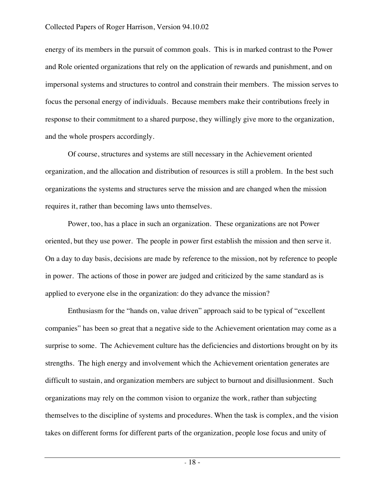#### Collected Papers of Roger Harrison, Version 94.10.02

energy of its members in the pursuit of common goals. This is in marked contrast to the Power and Role oriented organizations that rely on the application of rewards and punishment, and on impersonal systems and structures to control and constrain their members. The mission serves to focus the personal energy of individuals. Because members make their contributions freely in response to their commitment to a shared purpose, they willingly give more to the organization, and the whole prospers accordingly.

Of course, structures and systems are still necessary in the Achievement oriented organization, and the allocation and distribution of resources is still a problem. In the best such organizations the systems and structures serve the mission and are changed when the mission requires it, rather than becoming laws unto themselves.

Power, too, has a place in such an organization. These organizations are not Power oriented, but they use power. The people in power first establish the mission and then serve it. On a day to day basis, decisions are made by reference to the mission, not by reference to people in power. The actions of those in power are judged and criticized by the same standard as is applied to everyone else in the organization: do they advance the mission?

Enthusiasm for the "hands on, value driven" approach said to be typical of "excellent companies" has been so great that a negative side to the Achievement orientation may come as a surprise to some. The Achievement culture has the deficiencies and distortions brought on by its strengths. The high energy and involvement which the Achievement orientation generates are difficult to sustain, and organization members are subject to burnout and disillusionment. Such organizations may rely on the common vision to organize the work, rather than subjecting themselves to the discipline of systems and procedures. When the task is complex, and the vision takes on different forms for different parts of the organization, people lose focus and unity of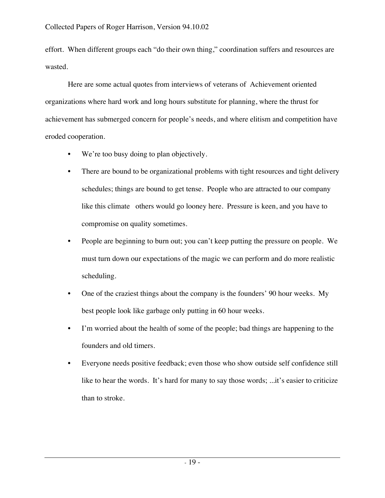effort. When different groups each "do their own thing," coordination suffers and resources are wasted.

Here are some actual quotes from interviews of veterans of Achievement oriented organizations where hard work and long hours substitute for planning, where the thrust for achievement has submerged concern for people's needs, and where elitism and competition have eroded cooperation.

- We're too busy doing to plan objectively.
- There are bound to be organizational problems with tight resources and tight delivery schedules; things are bound to get tense. People who are attracted to our company like this climate others would go looney here. Pressure is keen, and you have to compromise on quality sometimes.
- People are beginning to burn out; you can't keep putting the pressure on people. We must turn down our expectations of the magic we can perform and do more realistic scheduling.
- One of the craziest things about the company is the founders' 90 hour weeks. My best people look like garbage only putting in 60 hour weeks.
- I'm worried about the health of some of the people; bad things are happening to the founders and old timers.
- Everyone needs positive feedback; even those who show outside self confidence still like to hear the words. It's hard for many to say those words; ...it's easier to criticize than to stroke.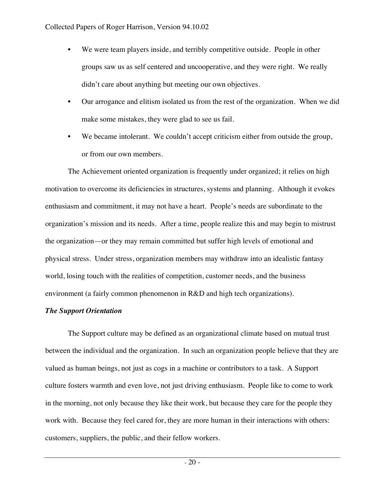- We were team players inside, and terribly competitive outside. People in other groups saw us as self centered and uncooperative, and they were right. We really didn't care about anything but meeting our own objectives.
- Our arrogance and elitism isolated us from the rest of the organization. When we did make some mistakes, they were glad to see us fail.
- We became intolerant. We couldn't accept criticism either from outside the group, or from our own members.

The Achievement oriented organization is frequently under organized; it relies on high motivation to overcome its deficiencies in structures, systems and planning. Although it evokes enthusiasm and commitment, it may not have a heart. People's needs are subordinate to the organization's mission and its needs. After a time, people realize this and may begin to mistrust the organization—or they may remain committed but suffer high levels of emotional and physical stress. Under stress, organization members may withdraw into an idealistic fantasy world, losing touch with the realities of competition, customer needs, and the business environment (a fairly common phenomenon in R&D and high tech organizations).

## *The Support Orientation*

The Support culture may be defined as an organizational climate based on mutual trust between the individual and the organization. In such an organization people believe that they are valued as human beings, not just as cogs in a machine or contributors to a task. A Support culture fosters warmth and even love, not just driving enthusiasm. People like to come to work in the morning, not only because they like their work, but because they care for the people they work with. Because they feel cared for, they are more human in their interactions with others: customers, suppliers, the public, and their fellow workers.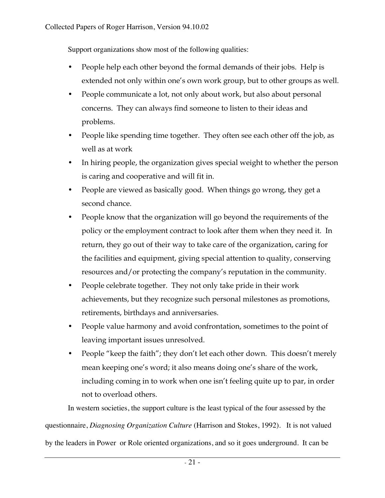Support organizations show most of the following qualities:

- People help each other beyond the formal demands of their jobs. Help is extended not only within one's own work group, but to other groups as well.
- People communicate a lot, not only about work, but also about personal concerns. They can always find someone to listen to their ideas and problems.
- People like spending time together. They often see each other off the job, as well as at work
- In hiring people, the organization gives special weight to whether the person is caring and cooperative and will fit in.
- People are viewed as basically good. When things go wrong, they get a second chance.
- People know that the organization will go beyond the requirements of the policy or the employment contract to look after them when they need it. In return, they go out of their way to take care of the organization, caring for the facilities and equipment, giving special attention to quality, conserving resources and/or protecting the company's reputation in the community.
- People celebrate together. They not only take pride in their work achievements, but they recognize such personal milestones as promotions, retirements, birthdays and anniversaries.
- People value harmony and avoid confrontation, sometimes to the point of leaving important issues unresolved.
- People "keep the faith"; they don't let each other down. This doesn't merely mean keeping one's word; it also means doing one's share of the work, including coming in to work when one isn't feeling quite up to par, in order not to overload others.

In western societies, the support culture is the least typical of the four assessed by the questionnaire, *Diagnosing Organization Culture* (Harrison and Stokes, 1992). It is not valued by the leaders in Power or Role oriented organizations, and so it goes underground. It can be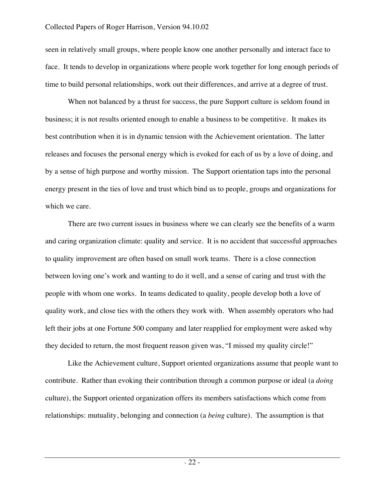seen in relatively small groups, where people know one another personally and interact face to face. It tends to develop in organizations where people work together for long enough periods of time to build personal relationships, work out their differences, and arrive at a degree of trust.

When not balanced by a thrust for success, the pure Support culture is seldom found in business; it is not results oriented enough to enable a business to be competitive. It makes its best contribution when it is in dynamic tension with the Achievement orientation. The latter releases and focuses the personal energy which is evoked for each of us by a love of doing, and by a sense of high purpose and worthy mission. The Support orientation taps into the personal energy present in the ties of love and trust which bind us to people, groups and organizations for which we care.

There are two current issues in business where we can clearly see the benefits of a warm and caring organization climate: quality and service. It is no accident that successful approaches to quality improvement are often based on small work teams. There is a close connection between loving one's work and wanting to do it well, and a sense of caring and trust with the people with whom one works. In teams dedicated to quality, people develop both a love of quality work, and close ties with the others they work with. When assembly operators who had left their jobs at one Fortune 500 company and later reapplied for employment were asked why they decided to return, the most frequent reason given was, "I missed my quality circle!"

Like the Achievement culture, Support oriented organizations assume that people want to contribute. Rather than evoking their contribution through a common purpose or ideal (a *doing*  culture), the Support oriented organization offers its members satisfactions which come from relationships: mutuality, belonging and connection (a *being* culture). The assumption is that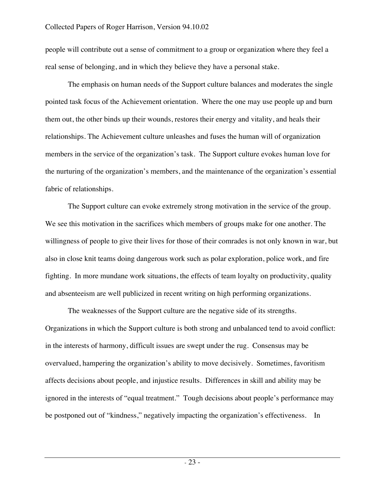people will contribute out a sense of commitment to a group or organization where they feel a real sense of belonging, and in which they believe they have a personal stake.

The emphasis on human needs of the Support culture balances and moderates the single pointed task focus of the Achievement orientation. Where the one may use people up and burn them out, the other binds up their wounds, restores their energy and vitality, and heals their relationships. The Achievement culture unleashes and fuses the human will of organization members in the service of the organization's task. The Support culture evokes human love for the nurturing of the organization's members, and the maintenance of the organization's essential fabric of relationships.

The Support culture can evoke extremely strong motivation in the service of the group. We see this motivation in the sacrifices which members of groups make for one another. The willingness of people to give their lives for those of their comrades is not only known in war, but also in close knit teams doing dangerous work such as polar exploration, police work, and fire fighting. In more mundane work situations, the effects of team loyalty on productivity, quality and absenteeism are well publicized in recent writing on high performing organizations.

The weaknesses of the Support culture are the negative side of its strengths. Organizations in which the Support culture is both strong and unbalanced tend to avoid conflict: in the interests of harmony, difficult issues are swept under the rug. Consensus may be overvalued, hampering the organization's ability to move decisively. Sometimes, favoritism affects decisions about people, and injustice results. Differences in skill and ability may be ignored in the interests of "equal treatment." Tough decisions about people's performance may be postponed out of "kindness," negatively impacting the organization's effectiveness. In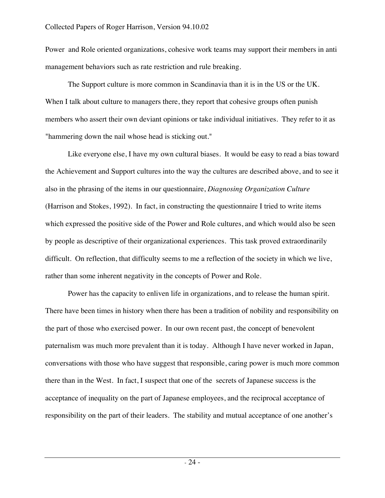Power and Role oriented organizations, cohesive work teams may support their members in anti management behaviors such as rate restriction and rule breaking.

The Support culture is more common in Scandinavia than it is in the US or the UK. When I talk about culture to managers there, they report that cohesive groups often punish members who assert their own deviant opinions or take individual initiatives. They refer to it as "hammering down the nail whose head is sticking out."

Like everyone else, I have my own cultural biases. It would be easy to read a bias toward the Achievement and Support cultures into the way the cultures are described above, and to see it also in the phrasing of the items in our questionnaire, *Diagnosing Organization Culture*  (Harrison and Stokes, 1992). In fact, in constructing the questionnaire I tried to write items which expressed the positive side of the Power and Role cultures, and which would also be seen by people as descriptive of their organizational experiences. This task proved extraordinarily difficult. On reflection, that difficulty seems to me a reflection of the society in which we live, rather than some inherent negativity in the concepts of Power and Role.

Power has the capacity to enliven life in organizations, and to release the human spirit. There have been times in history when there has been a tradition of nobility and responsibility on the part of those who exercised power. In our own recent past, the concept of benevolent paternalism was much more prevalent than it is today. Although I have never worked in Japan, conversations with those who have suggest that responsible, caring power is much more common there than in the West. In fact, I suspect that one of the secrets of Japanese success is the acceptance of inequality on the part of Japanese employees, and the reciprocal acceptance of responsibility on the part of their leaders. The stability and mutual acceptance of one another's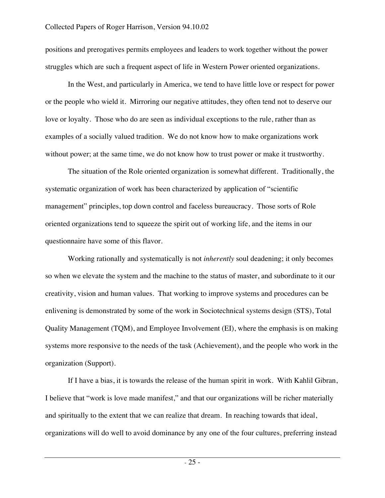positions and prerogatives permits employees and leaders to work together without the power struggles which are such a frequent aspect of life in Western Power oriented organizations.

In the West, and particularly in America, we tend to have little love or respect for power or the people who wield it. Mirroring our negative attitudes, they often tend not to deserve our love or loyalty. Those who do are seen as individual exceptions to the rule, rather than as examples of a socially valued tradition. We do not know how to make organizations work without power; at the same time, we do not know how to trust power or make it trustworthy.

The situation of the Role oriented organization is somewhat different. Traditionally, the systematic organization of work has been characterized by application of "scientific management" principles, top down control and faceless bureaucracy. Those sorts of Role oriented organizations tend to squeeze the spirit out of working life, and the items in our questionnaire have some of this flavor.

Working rationally and systematically is not *inherently* soul deadening; it only becomes so when we elevate the system and the machine to the status of master, and subordinate to it our creativity, vision and human values. That working to improve systems and procedures can be enlivening is demonstrated by some of the work in Sociotechnical systems design (STS), Total Quality Management (TQM), and Employee Involvement (EI), where the emphasis is on making systems more responsive to the needs of the task (Achievement), and the people who work in the organization (Support).

If I have a bias, it is towards the release of the human spirit in work. With Kahlil Gibran, I believe that "work is love made manifest," and that our organizations will be richer materially and spiritually to the extent that we can realize that dream. In reaching towards that ideal, organizations will do well to avoid dominance by any one of the four cultures, preferring instead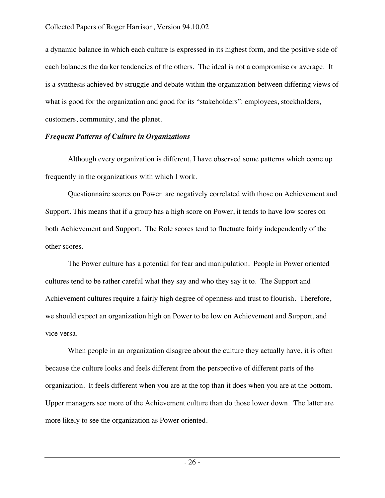a dynamic balance in which each culture is expressed in its highest form, and the positive side of each balances the darker tendencies of the others. The ideal is not a compromise or average. It is a synthesis achieved by struggle and debate within the organization between differing views of what is good for the organization and good for its "stakeholders": employees, stockholders, customers, community, and the planet.

## *Frequent Patterns of Culture in Organizations*

Although every organization is different, I have observed some patterns which come up frequently in the organizations with which I work.

Questionnaire scores on Power are negatively correlated with those on Achievement and Support. This means that if a group has a high score on Power, it tends to have low scores on both Achievement and Support. The Role scores tend to fluctuate fairly independently of the other scores.

The Power culture has a potential for fear and manipulation. People in Power oriented cultures tend to be rather careful what they say and who they say it to. The Support and Achievement cultures require a fairly high degree of openness and trust to flourish. Therefore, we should expect an organization high on Power to be low on Achievement and Support, and vice versa.

When people in an organization disagree about the culture they actually have, it is often because the culture looks and feels different from the perspective of different parts of the organization. It feels different when you are at the top than it does when you are at the bottom. Upper managers see more of the Achievement culture than do those lower down. The latter are more likely to see the organization as Power oriented.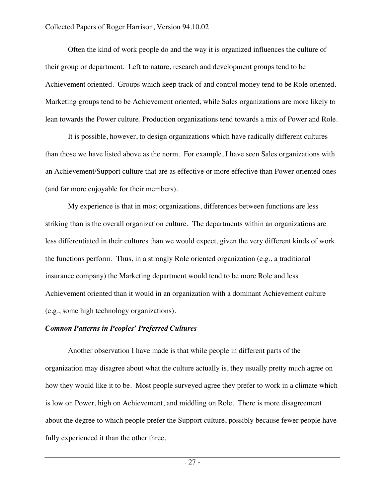Often the kind of work people do and the way it is organized influences the culture of their group or department. Left to nature, research and development groups tend to be Achievement oriented. Groups which keep track of and control money tend to be Role oriented. Marketing groups tend to be Achievement oriented, while Sales organizations are more likely to lean towards the Power culture. Production organizations tend towards a mix of Power and Role.

It is possible, however, to design organizations which have radically different cultures than those we have listed above as the norm. For example, I have seen Sales organizations with an Achievement/Support culture that are as effective or more effective than Power oriented ones (and far more enjoyable for their members).

My experience is that in most organizations, differences between functions are less striking than is the overall organization culture. The departments within an organizations are less differentiated in their cultures than we would expect, given the very different kinds of work the functions perform. Thus, in a strongly Role oriented organization (e.g., a traditional insurance company) the Marketing department would tend to be more Role and less Achievement oriented than it would in an organization with a dominant Achievement culture (e.g., some high technology organizations).

#### *Comnon Patterns in Peoples' Preferred Cultures*

Another observation I have made is that while people in different parts of the organization may disagree about what the culture actually is, they usually pretty much agree on how they would like it to be. Most people surveyed agree they prefer to work in a climate which is low on Power, high on Achievement, and middling on Role. There is more disagreement about the degree to which people prefer the Support culture, possibly because fewer people have fully experienced it than the other three.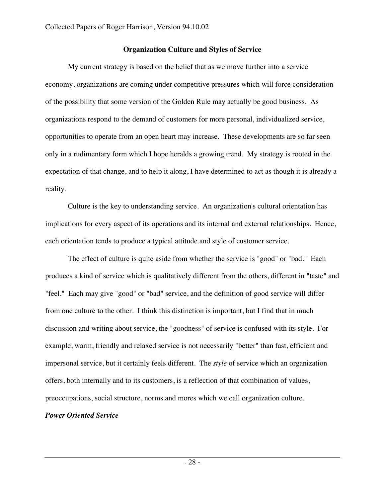## **Organization Culture and Styles of Service**

My current strategy is based on the belief that as we move further into a service economy, organizations are coming under competitive pressures which will force consideration of the possibility that some version of the Golden Rule may actually be good business. As organizations respond to the demand of customers for more personal, individualized service, opportunities to operate from an open heart may increase. These developments are so far seen only in a rudimentary form which I hope heralds a growing trend. My strategy is rooted in the expectation of that change, and to help it along, I have determined to act as though it is already a reality.

Culture is the key to understanding service. An organization's cultural orientation has implications for every aspect of its operations and its internal and external relationships. Hence, each orientation tends to produce a typical attitude and style of customer service.

The effect of culture is quite aside from whether the service is "good" or "bad." Each produces a kind of service which is qualitatively different from the others, different in "taste" and "feel." Each may give "good" or "bad" service, and the definition of good service will differ from one culture to the other. I think this distinction is important, but I find that in much discussion and writing about service, the "goodness" of service is confused with its style. For example, warm, friendly and relaxed service is not necessarily "better" than fast, efficient and impersonal service, but it certainly feels different. The *style* of service which an organization offers, both internally and to its customers, is a reflection of that combination of values, preoccupations, social structure, norms and mores which we call organization culture.

## *Power Oriented Service*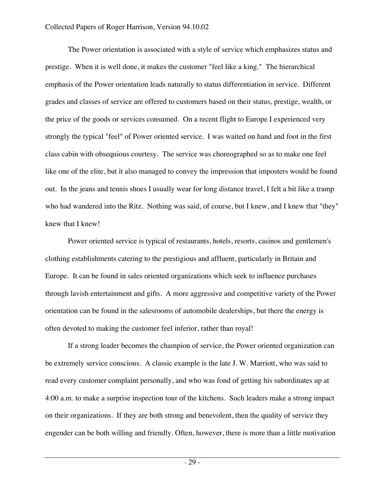The Power orientation is associated with a style of service which emphasizes status and prestige. When it is well done, it makes the customer "feel like a king." The hierarchical emphasis of the Power orientation leads naturally to status differentiation in service. Different grades and classes of service are offered to customers based on their status, prestige, wealth, or the price of the goods or services consumed. On a recent flight to Europe I experienced very strongly the typical "feel" of Power oriented service. I was waited on hand and foot in the first class cabin with obsequious courtesy. The service was choreographed so as to make one feel like one of the elite, but it also managed to convey the impression that imposters would be found out. In the jeans and tennis shoes I usually wear for long distance travel, I felt a bit like a tramp who had wandered into the Ritz. Nothing was said, of course, but I knew, and I knew that "they" knew that I knew!

Power oriented service is typical of restaurants, hotels, resorts, casinos and gentlemen's clothing establishments catering to the prestigious and affluent, particularly in Britain and Europe. It can be found in sales oriented organizations which seek to influence purchases through lavish entertainment and gifts. A more aggressive and competitive variety of the Power orientation can be found in the salesrooms of automobile dealerships, but there the energy is often devoted to making the customer feel inferior, rather than royal!

If a strong leader becomes the champion of service, the Power oriented organization can be extremely service conscious. A classic example is the late J. W. Marriott, who was said to read every customer complaint personally, and who was fond of getting his subordinates up at 4:00 a.m. to make a surprise inspection tour of the kitchens. Such leaders make a strong impact on their organizations. If they are both strong and benevolent, then the quality of service they engender can be both willing and friendly. Often, however, there is more than a little motivation

*-* 29 -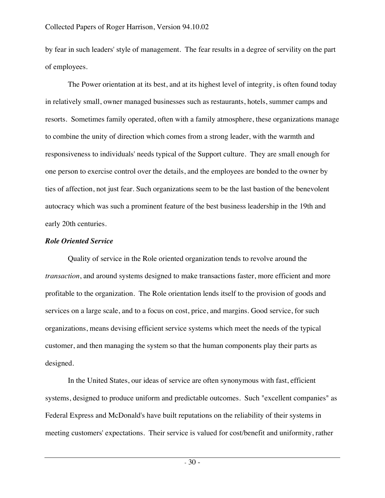by fear in such leaders' style of management. The fear results in a degree of servility on the part of employees.

The Power orientation at its best, and at its highest level of integrity, is often found today in relatively small, owner managed businesses such as restaurants, hotels, summer camps and resorts. Sometimes family operated, often with a family atmosphere, these organizations manage to combine the unity of direction which comes from a strong leader, with the warmth and responsiveness to individuals' needs typical of the Support culture. They are small enough for one person to exercise control over the details, and the employees are bonded to the owner by ties of affection, not just fear. Such organizations seem to be the last bastion of the benevolent autocracy which was such a prominent feature of the best business leadership in the 19th and early 20th centuries.

#### *Role Oriented Service*

Quality of service in the Role oriented organization tends to revolve around the *transaction*, and around systems designed to make transactions faster, more efficient and more profitable to the organization. The Role orientation lends itself to the provision of goods and services on a large scale, and to a focus on cost, price, and margins. Good service, for such organizations, means devising efficient service systems which meet the needs of the typical customer, and then managing the system so that the human components play their parts as designed.

In the United States, our ideas of service are often synonymous with fast, efficient systems, designed to produce uniform and predictable outcomes. Such "excellent companies" as Federal Express and McDonald's have built reputations on the reliability of their systems in meeting customers' expectations. Their service is valued for cost/benefit and uniformity, rather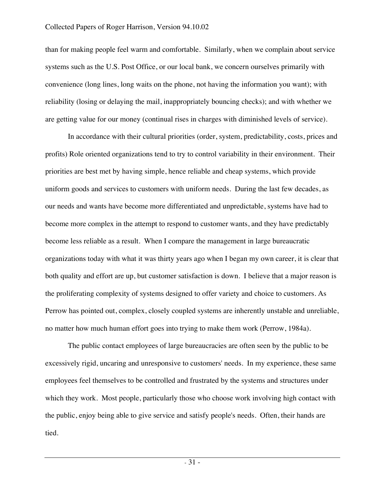#### Collected Papers of Roger Harrison, Version 94.10.02

than for making people feel warm and comfortable. Similarly, when we complain about service systems such as the U.S. Post Office, or our local bank, we concern ourselves primarily with convenience (long lines, long waits on the phone, not having the information you want); with reliability (losing or delaying the mail, inappropriately bouncing checks); and with whether we are getting value for our money (continual rises in charges with diminished levels of service).

In accordance with their cultural priorities (order, system, predictability, costs, prices and profits) Role oriented organizations tend to try to control variability in their environment. Their priorities are best met by having simple, hence reliable and cheap systems, which provide uniform goods and services to customers with uniform needs. During the last few decades, as our needs and wants have become more differentiated and unpredictable, systems have had to become more complex in the attempt to respond to customer wants, and they have predictably become less reliable as a result. When I compare the management in large bureaucratic organizations today with what it was thirty years ago when I began my own career, it is clear that both quality and effort are up, but customer satisfaction is down. I believe that a major reason is the proliferating complexity of systems designed to offer variety and choice to customers. As Perrow has pointed out, complex, closely coupled systems are inherently unstable and unreliable, no matter how much human effort goes into trying to make them work (Perrow, 1984a).

The public contact employees of large bureaucracies are often seen by the public to be excessively rigid, uncaring and unresponsive to customers' needs. In my experience, these same employees feel themselves to be controlled and frustrated by the systems and structures under which they work. Most people, particularly those who choose work involving high contact with the public, enjoy being able to give service and satisfy people's needs. Often, their hands are tied.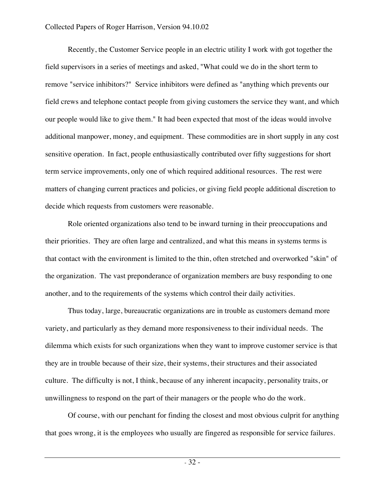Recently, the Customer Service people in an electric utility I work with got together the field supervisors in a series of meetings and asked, "What could we do in the short term to remove "service inhibitors?" Service inhibitors were defined as "anything which prevents our field crews and telephone contact people from giving customers the service they want, and which our people would like to give them." It had been expected that most of the ideas would involve additional manpower, money, and equipment. These commodities are in short supply in any cost sensitive operation. In fact, people enthusiastically contributed over fifty suggestions for short term service improvements, only one of which required additional resources. The rest were matters of changing current practices and policies, or giving field people additional discretion to decide which requests from customers were reasonable.

Role oriented organizations also tend to be inward turning in their preoccupations and their priorities. They are often large and centralized, and what this means in systems terms is that contact with the environment is limited to the thin, often stretched and overworked "skin" of the organization. The vast preponderance of organization members are busy responding to one another, and to the requirements of the systems which control their daily activities.

Thus today, large, bureaucratic organizations are in trouble as customers demand more variety, and particularly as they demand more responsiveness to their individual needs. The dilemma which exists for such organizations when they want to improve customer service is that they are in trouble because of their size, their systems, their structures and their associated culture. The difficulty is not, I think, because of any inherent incapacity, personality traits, or unwillingness to respond on the part of their managers or the people who do the work.

Of course, with our penchant for finding the closest and most obvious culprit for anything that goes wrong, it is the employees who usually are fingered as responsible for service failures.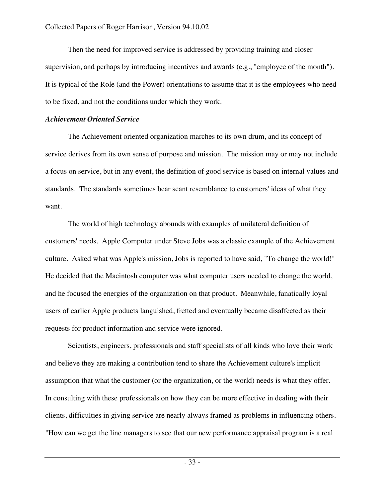Then the need for improved service is addressed by providing training and closer supervision, and perhaps by introducing incentives and awards (e.g., "employee of the month"). It is typical of the Role (and the Power) orientations to assume that it is the employees who need to be fixed, and not the conditions under which they work.

#### *Achievement Oriented Service*

The Achievement oriented organization marches to its own drum, and its concept of service derives from its own sense of purpose and mission. The mission may or may not include a focus on service, but in any event, the definition of good service is based on internal values and standards. The standards sometimes bear scant resemblance to customers' ideas of what they want.

The world of high technology abounds with examples of unilateral definition of customers' needs. Apple Computer under Steve Jobs was a classic example of the Achievement culture. Asked what was Apple's mission, Jobs is reported to have said, "To change the world!" He decided that the Macintosh computer was what computer users needed to change the world, and he focused the energies of the organization on that product. Meanwhile, fanatically loyal users of earlier Apple products languished, fretted and eventually became disaffected as their requests for product information and service were ignored.

Scientists, engineers, professionals and staff specialists of all kinds who love their work and believe they are making a contribution tend to share the Achievement culture's implicit assumption that what the customer (or the organization, or the world) needs is what they offer. In consulting with these professionals on how they can be more effective in dealing with their clients, difficulties in giving service are nearly always framed as problems in influencing others. "How can we get the line managers to see that our new performance appraisal program is a real

*-* 33 -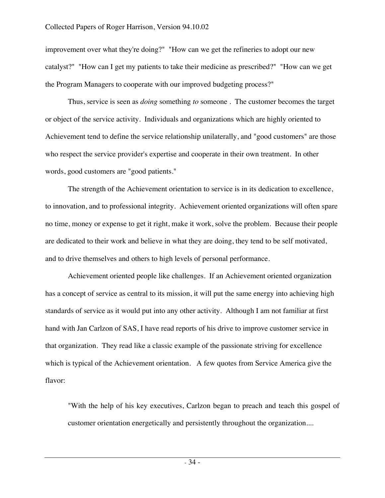#### Collected Papers of Roger Harrison, Version 94.10.02

improvement over what they're doing?" "How can we get the refineries to adopt our new catalyst?" "How can I get my patients to take their medicine as prescribed?" "How can we get the Program Managers to cooperate with our improved budgeting process?"

Thus, service is seen as *doing* something *to* someone . The customer becomes the target or object of the service activity. Individuals and organizations which are highly oriented to Achievement tend to define the service relationship unilaterally, and "good customers" are those who respect the service provider's expertise and cooperate in their own treatment. In other words, good customers are "good patients."

The strength of the Achievement orientation to service is in its dedication to excellence, to innovation, and to professional integrity. Achievement oriented organizations will often spare no time, money or expense to get it right, make it work, solve the problem. Because their people are dedicated to their work and believe in what they are doing, they tend to be self motivated, and to drive themselves and others to high levels of personal performance.

Achievement oriented people like challenges. If an Achievement oriented organization has a concept of service as central to its mission, it will put the same energy into achieving high standards of service as it would put into any other activity. Although I am not familiar at first hand with Jan Carlzon of SAS, I have read reports of his drive to improve customer service in that organization. They read like a classic example of the passionate striving for excellence which is typical of the Achievement orientation. A few quotes from Service America give the flavor:

"With the help of his key executives, Carlzon began to preach and teach this gospel of customer orientation energetically and persistently throughout the organization....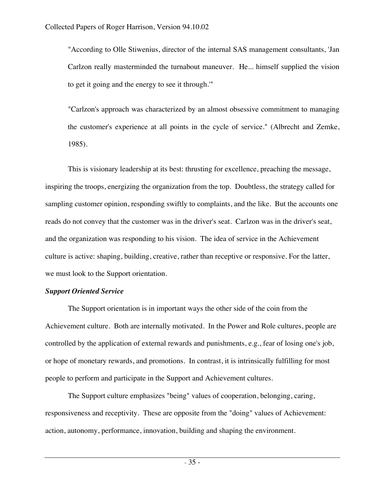"According to Olle Stiwenius, director of the internal SAS management consultants, 'Jan Carlzon really masterminded the turnabout maneuver. He... himself supplied the vision to get it going and the energy to see it through.'"

"Carlzon's approach was characterized by an almost obsessive commitment to managing the customer's experience at all points in the cycle of service." (Albrecht and Zemke, 1985).

This is visionary leadership at its best: thrusting for excellence, preaching the message, inspiring the troops, energizing the organization from the top. Doubtless, the strategy called for sampling customer opinion, responding swiftly to complaints, and the like. But the accounts one reads do not convey that the customer was in the driver's seat. Carlzon was in the driver's seat, and the organization was responding to his vision. The idea of service in the Achievement culture is active: shaping, building, creative, rather than receptive or responsive. For the latter, we must look to the Support orientation.

## *Support Oriented Service*

The Support orientation is in important ways the other side of the coin from the Achievement culture. Both are internally motivated. In the Power and Role cultures, people are controlled by the application of external rewards and punishments, e.g., fear of losing one's job, or hope of monetary rewards, and promotions. In contrast, it is intrinsically fulfilling for most people to perform and participate in the Support and Achievement cultures.

The Support culture emphasizes "being" values of cooperation, belonging, caring, responsiveness and receptivity. These are opposite from the "doing" values of Achievement: action, autonomy, performance, innovation, building and shaping the environment.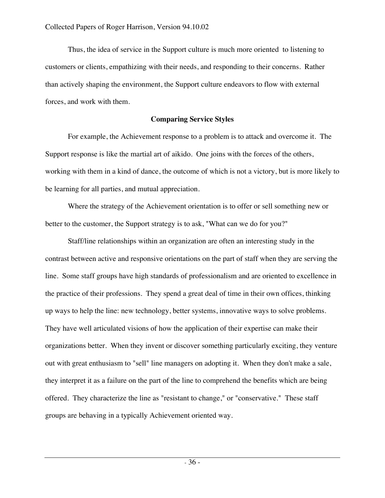Thus, the idea of service in the Support culture is much more oriented to listening to customers or clients, empathizing with their needs, and responding to their concerns. Rather than actively shaping the environment, the Support culture endeavors to flow with external forces, and work with them.

## **Comparing Service Styles**

For example, the Achievement response to a problem is to attack and overcome it. The Support response is like the martial art of aikido. One joins with the forces of the others, working with them in a kind of dance, the outcome of which is not a victory, but is more likely to be learning for all parties, and mutual appreciation.

Where the strategy of the Achievement orientation is to offer or sell something new or better to the customer, the Support strategy is to ask, "What can we do for you?"

Staff/line relationships within an organization are often an interesting study in the contrast between active and responsive orientations on the part of staff when they are serving the line. Some staff groups have high standards of professionalism and are oriented to excellence in the practice of their professions. They spend a great deal of time in their own offices, thinking up ways to help the line: new technology, better systems, innovative ways to solve problems. They have well articulated visions of how the application of their expertise can make their organizations better. When they invent or discover something particularly exciting, they venture out with great enthusiasm to "sell" line managers on adopting it. When they don't make a sale, they interpret it as a failure on the part of the line to comprehend the benefits which are being offered. They characterize the line as "resistant to change," or "conservative." These staff groups are behaving in a typically Achievement oriented way.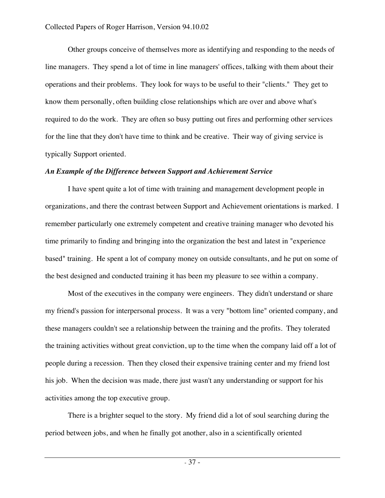Other groups conceive of themselves more as identifying and responding to the needs of line managers. They spend a lot of time in line managers' offices, talking with them about their operations and their problems. They look for ways to be useful to their "clients." They get to know them personally, often building close relationships which are over and above what's required to do the work. They are often so busy putting out fires and performing other services for the line that they don't have time to think and be creative. Their way of giving service is typically Support oriented.

#### *An Example of the Difference between Support and Achievement Service*

I have spent quite a lot of time with training and management development people in organizations, and there the contrast between Support and Achievement orientations is marked. I remember particularly one extremely competent and creative training manager who devoted his time primarily to finding and bringing into the organization the best and latest in "experience based" training. He spent a lot of company money on outside consultants, and he put on some of the best designed and conducted training it has been my pleasure to see within a company.

Most of the executives in the company were engineers. They didn't understand or share my friend's passion for interpersonal process. It was a very "bottom line" oriented company, and these managers couldn't see a relationship between the training and the profits. They tolerated the training activities without great conviction, up to the time when the company laid off a lot of people during a recession. Then they closed their expensive training center and my friend lost his job. When the decision was made, there just wasn't any understanding or support for his activities among the top executive group.

There is a brighter sequel to the story. My friend did a lot of soul searching during the period between jobs, and when he finally got another, also in a scientifically oriented

*-* 37 -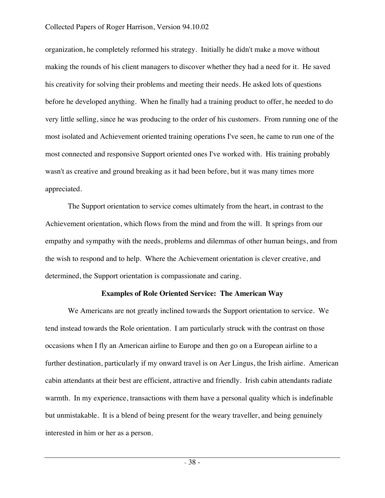#### Collected Papers of Roger Harrison, Version 94.10.02

organization, he completely reformed his strategy. Initially he didn't make a move without making the rounds of his client managers to discover whether they had a need for it. He saved his creativity for solving their problems and meeting their needs. He asked lots of questions before he developed anything. When he finally had a training product to offer, he needed to do very little selling, since he was producing to the order of his customers. From running one of the most isolated and Achievement oriented training operations I've seen, he came to run one of the most connected and responsive Support oriented ones I've worked with. His training probably wasn't as creative and ground breaking as it had been before, but it was many times more appreciated.

The Support orientation to service comes ultimately from the heart, in contrast to the Achievement orientation, which flows from the mind and from the will. It springs from our empathy and sympathy with the needs, problems and dilemmas of other human beings, and from the wish to respond and to help. Where the Achievement orientation is clever creative, and determined, the Support orientation is compassionate and caring.

#### **Examples of Role Oriented Service: The American Way**

We Americans are not greatly inclined towards the Support orientation to service. We tend instead towards the Role orientation. I am particularly struck with the contrast on those occasions when I fly an American airline to Europe and then go on a European airline to a further destination, particularly if my onward travel is on Aer Lingus, the Irish airline. American cabin attendants at their best are efficient, attractive and friendly. Irish cabin attendants radiate warmth. In my experience, transactions with them have a personal quality which is indefinable but unmistakable. It is a blend of being present for the weary traveller, and being genuinely interested in him or her as a person.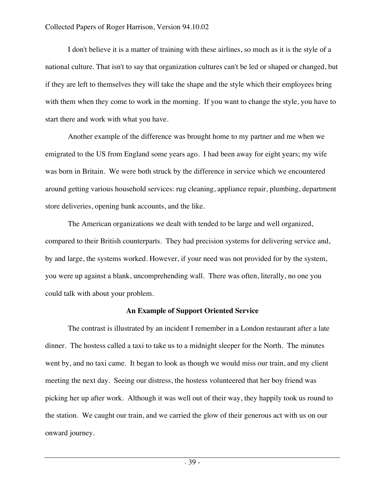I don't believe it is a matter of training with these airlines, so much as it is the style of a national culture. That isn't to say that organization cultures can't be led or shaped or changed, but if they are left to themselves they will take the shape and the style which their employees bring with them when they come to work in the morning. If you want to change the style, you have to start there and work with what you have.

Another example of the difference was brought home to my partner and me when we emigrated to the US from England some years ago. I had been away for eight years; my wife was born in Britain. We were both struck by the difference in service which we encountered around getting various household services: rug cleaning, appliance repair, plumbing, department store deliveries, opening bank accounts, and the like.

The American organizations we dealt with tended to be large and well organized, compared to their British counterparts. They had precision systems for delivering service and, by and large, the systems worked. However, if your need was not provided for by the system, you were up against a blank, uncomprehending wall. There was often, literally, no one you could talk with about your problem.

## **An Example of Support Oriented Service**

The contrast is illustrated by an incident I remember in a London restaurant after a late dinner. The hostess called a taxi to take us to a midnight sleeper for the North. The minutes went by, and no taxi came. It began to look as though we would miss our train, and my client meeting the next day. Seeing our distress, the hostess volunteered that her boy friend was picking her up after work. Although it was well out of their way, they happily took us round to the station. We caught our train, and we carried the glow of their generous act with us on our onward journey.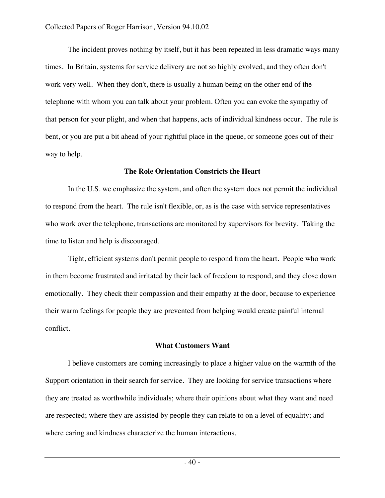The incident proves nothing by itself, but it has been repeated in less dramatic ways many times. In Britain, systems for service delivery are not so highly evolved, and they often don't work very well. When they don't, there is usually a human being on the other end of the telephone with whom you can talk about your problem. Often you can evoke the sympathy of that person for your plight, and when that happens, acts of individual kindness occur. The rule is bent, or you are put a bit ahead of your rightful place in the queue, or someone goes out of their way to help.

#### **The Role Orientation Constricts the Heart**

In the U.S. we emphasize the system, and often the system does not permit the individual to respond from the heart. The rule isn't flexible, or, as is the case with service representatives who work over the telephone, transactions are monitored by supervisors for brevity. Taking the time to listen and help is discouraged.

Tight, efficient systems don't permit people to respond from the heart. People who work in them become frustrated and irritated by their lack of freedom to respond, and they close down emotionally. They check their compassion and their empathy at the door, because to experience their warm feelings for people they are prevented from helping would create painful internal conflict.

#### **What Customers Want**

I believe customers are coming increasingly to place a higher value on the warmth of the Support orientation in their search for service. They are looking for service transactions where they are treated as worthwhile individuals; where their opinions about what they want and need are respected; where they are assisted by people they can relate to on a level of equality; and where caring and kindness characterize the human interactions.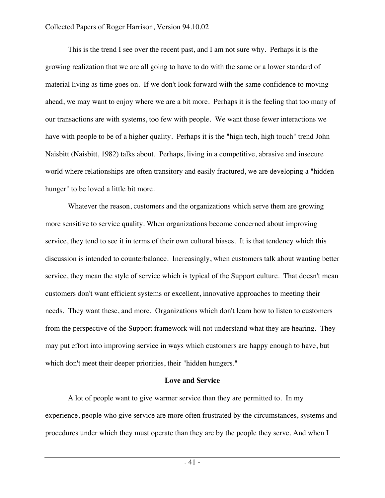This is the trend I see over the recent past, and I am not sure why. Perhaps it is the growing realization that we are all going to have to do with the same or a lower standard of material living as time goes on. If we don't look forward with the same confidence to moving ahead, we may want to enjoy where we are a bit more. Perhaps it is the feeling that too many of our transactions are with systems, too few with people. We want those fewer interactions we have with people to be of a higher quality. Perhaps it is the "high tech, high touch" trend John Naisbitt (Naisbitt, 1982) talks about. Perhaps, living in a competitive, abrasive and insecure world where relationships are often transitory and easily fractured, we are developing a "hidden hunger" to be loved a little bit more.

Whatever the reason, customers and the organizations which serve them are growing more sensitive to service quality. When organizations become concerned about improving service, they tend to see it in terms of their own cultural biases. It is that tendency which this discussion is intended to counterbalance. Increasingly, when customers talk about wanting better service, they mean the style of service which is typical of the Support culture. That doesn't mean customers don't want efficient systems or excellent, innovative approaches to meeting their needs. They want these, and more. Organizations which don't learn how to listen to customers from the perspective of the Support framework will not understand what they are hearing. They may put effort into improving service in ways which customers are happy enough to have, but which don't meet their deeper priorities, their "hidden hungers."

#### **Love and Service**

A lot of people want to give warmer service than they are permitted to. In my experience, people who give service are more often frustrated by the circumstances, systems and procedures under which they must operate than they are by the people they serve. And when I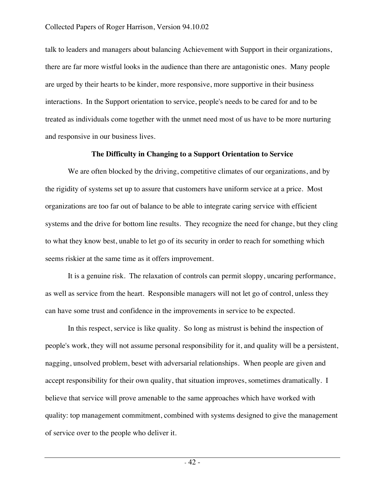talk to leaders and managers about balancing Achievement with Support in their organizations, there are far more wistful looks in the audience than there are antagonistic ones. Many people are urged by their hearts to be kinder, more responsive, more supportive in their business interactions. In the Support orientation to service, people's needs to be cared for and to be treated as individuals come together with the unmet need most of us have to be more nurturing and responsive in our business lives.

#### **The Difficulty in Changing to a Support Orientation to Service**

We are often blocked by the driving, competitive climates of our organizations, and by the rigidity of systems set up to assure that customers have uniform service at a price. Most organizations are too far out of balance to be able to integrate caring service with efficient systems and the drive for bottom line results. They recognize the need for change, but they cling to what they know best, unable to let go of its security in order to reach for something which seems riskier at the same time as it offers improvement.

It is a genuine risk. The relaxation of controls can permit sloppy, uncaring performance, as well as service from the heart. Responsible managers will not let go of control, unless they can have some trust and confidence in the improvements in service to be expected.

In this respect, service is like quality. So long as mistrust is behind the inspection of people's work, they will not assume personal responsibility for it, and quality will be a persistent, nagging, unsolved problem, beset with adversarial relationships. When people are given and accept responsibility for their own quality, that situation improves, sometimes dramatically. I believe that service will prove amenable to the same approaches which have worked with quality: top management commitment, combined with systems designed to give the management of service over to the people who deliver it.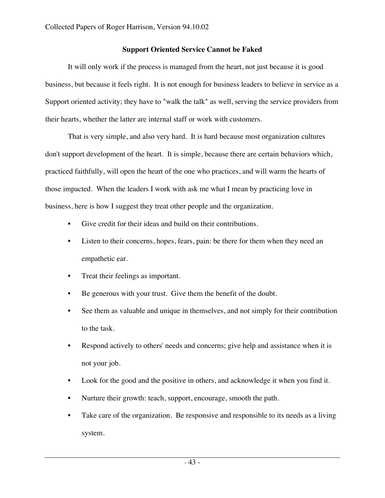## **Support Oriented Service Cannot be Faked**

It will only work if the process is managed from the heart, not just because it is good business, but because it feels right. It is not enough for business leaders to believe in service as a Support oriented activity; they have to "walk the talk" as well, serving the service providers from their hearts, whether the latter are internal staff or work with customers.

That is very simple, and also very hard. It is hard because most organization cultures don't support development of the heart. It is simple, because there are certain behaviors which, practiced faithfully, will open the heart of the one who practices, and will warm the hearts of those impacted. When the leaders I work with ask me what I mean by practicing love in business, here is how I suggest they treat other people and the organization.

- Give credit for their ideas and build on their contributions.
- Listen to their concerns, hopes, fears, pain: be there for them when they need an empathetic ear.
- Treat their feelings as important.
- Be generous with your trust. Give them the benefit of the doubt.
- See them as valuable and unique in themselves, and not simply for their contribution to the task.
- Respond actively to others' needs and concerns; give help and assistance when it is not your job.
- Look for the good and the positive in others, and acknowledge it when you find it.
- Nurture their growth: teach, support, encourage, smooth the path.
- Take care of the organization. Be responsive and responsible to its needs as a living system.